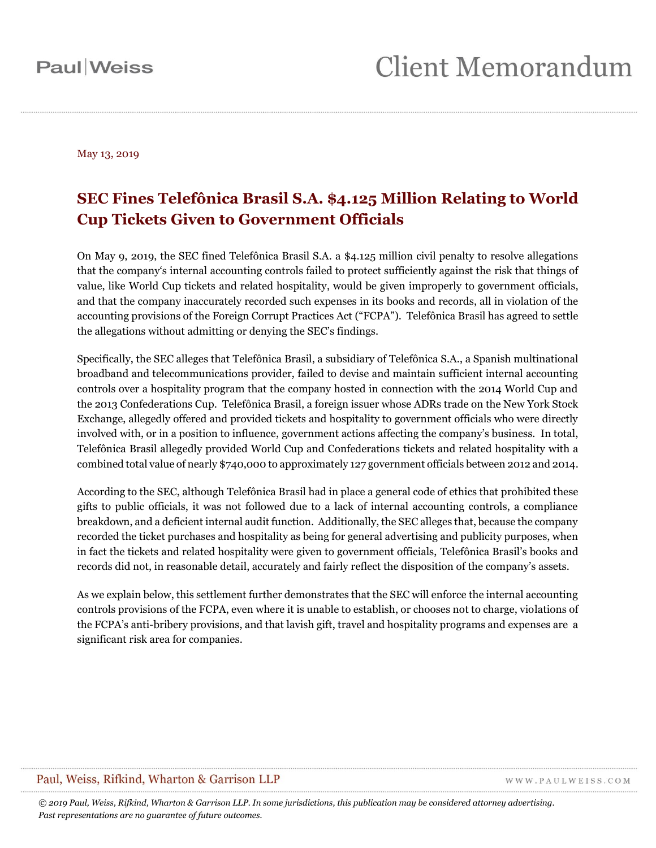**Paul** Weiss

May 13, 2019

### **SEC Fines Telefônica Brasil S.A. \$4.125 Million Relating to World Cup Tickets Given to Government Officials**

On May 9, 2019, the SEC fined Telefônica Brasil S.A. a \$4.125 million civil penalty to resolve allegations that the company's internal accounting controls failed to protect sufficiently against the risk that things of value, like World Cup tickets and related hospitality, would be given improperly to government officials, and that the company inaccurately recorded such expenses in its books and records, all in violation of the accounting provisions of the Foreign Corrupt Practices Act ("FCPA"). Telefônica Brasil has agreed to settle the allegations without admitting or denying the SEC's findings.

Specifically, the SEC alleges that Telefônica Brasil, a subsidiary of Telefônica S.A., a Spanish multinational broadband and telecommunications provider, failed to devise and maintain sufficient internal accounting controls over a hospitality program that the company hosted in connection with the 2014 World Cup and the 2013 Confederations Cup. Telefônica Brasil, a foreign issuer whose ADRs trade on the New York Stock Exchange, allegedly offered and provided tickets and hospitality to government officials who were directly involved with, or in a position to influence, government actions affecting the company's business. In total, Telefônica Brasil allegedly provided World Cup and Confederations tickets and related hospitality with a combined total value of nearly \$740,000 to approximately 127 government officials between 2012 and 2014.

According to the SEC, although Telefônica Brasil had in place a general code of ethics that prohibited these gifts to public officials, it was not followed due to a lack of internal accounting controls, a compliance breakdown, and a deficient internal audit function. Additionally, the SEC alleges that, because the company recorded the ticket purchases and hospitality as being for general advertising and publicity purposes, when in fact the tickets and related hospitality were given to government officials, Telefônica Brasil's books and records did not, in reasonable detail, accurately and fairly reflect the disposition of the company's assets.

As we explain below, this settlement further demonstrates that the SEC will enforce the internal accounting controls provisions of the FCPA, even where it is unable to establish, or chooses not to charge, violations of the FCPA's anti-bribery provisions, and that lavish gift, travel and hospitality programs and expenses are a significant risk area for companies.

#### Paul, Weiss, Rifkind, Wharton & Garrison LLP

WWW.PAULWEISS.COM

*© 2019 Paul, Weiss, Rifkind, Wharton & Garrison LLP. In some jurisdictions, this publication may be considered attorney advertising. Past representations are no guarantee of future outcomes.*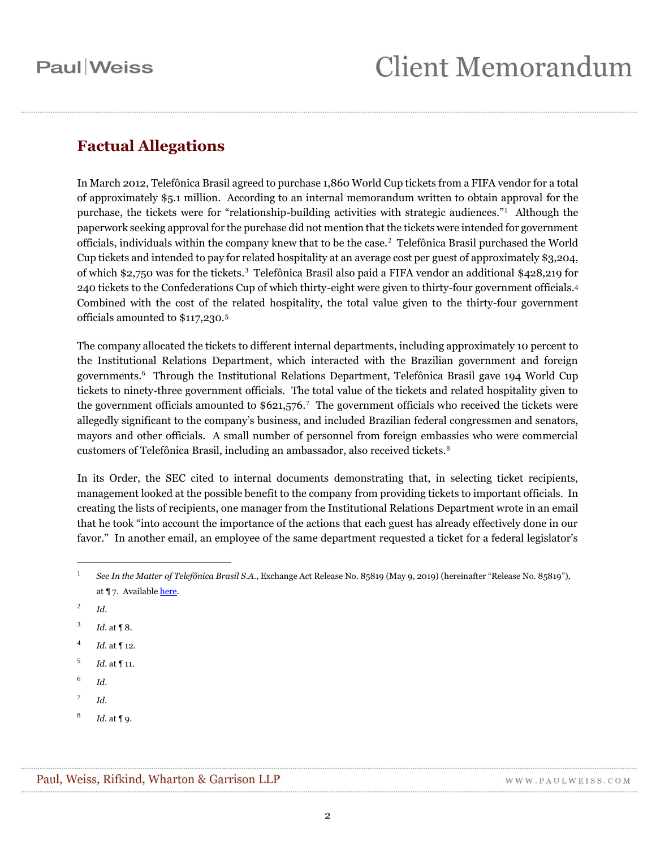### **Factual Allegations**

In March 2012, Telefônica Brasil agreed to purchase 1,860 World Cup tickets from a FIFA vendor for a total of approximately \$5.1 million. According to an internal memorandum written to obtain approval for the purchase, the tickets were for "relationship-building activities with strategic audiences."<sup>1</sup> Although the paperwork seeking approval for the purchase did not mention that the tickets were intended for government officials, individuals within the company knew that to be the case.<sup>2</sup> Telefônica Brasil purchased the World Cup tickets and intended to pay for related hospitality at an average cost per guest of approximately \$3,204, of which \$2,750 was for the tickets.<sup>3</sup> Telefônica Brasil also paid a FIFA vendor an additional \$428,219 for 240 tickets to the Confederations Cup of which thirty-eight were given to thirty-four government officials.<sup>4</sup> Combined with the cost of the related hospitality, the total value given to the thirty-four government officials amounted to \$117,230.<sup>5</sup>

The company allocated the tickets to different internal departments, including approximately 10 percent to the Institutional Relations Department, which interacted with the Brazilian government and foreign governments.<sup>6</sup> Through the Institutional Relations Department, Telefônica Brasil gave 194 World Cup tickets to ninety-three government officials. The total value of the tickets and related hospitality given to the government officials amounted to \$621,576.<sup>7</sup> The government officials who received the tickets were allegedly significant to the company's business, and included Brazilian federal congressmen and senators, mayors and other officials. A small number of personnel from foreign embassies who were commercial customers of Telefônica Brasil, including an ambassador, also received tickets.<sup>8</sup>

In its Order, the SEC cited to internal documents demonstrating that, in selecting ticket recipients, management looked at the possible benefit to the company from providing tickets to important officials. In creating the lists of recipients, one manager from the Institutional Relations Department wrote in an email that he took "into account the importance of the actions that each guest has already effectively done in our favor." In another email, an employee of the same department requested a ticket for a federal legislator's

 $\overline{a}$ 

- 4 *Id.* at ¶ 12.
- 5 *Id.* at ¶ 11.
- 6 *Id.*
- 7 *Id.*
- 8 *Id.* at ¶ 9.

<sup>1</sup> *See In the Matter of Telefônica Brasil S.A.*, Exchange Act Release No. 85819 (May 9, 2019) (hereinafter "Release No. 85819"), at ¶ 7. Availabl[e here.](https://www.sec.gov/litigation/admin/2019/34-85819.pdf)

<sup>2</sup> *Id.*

<sup>3</sup> *Id.* at ¶ 8.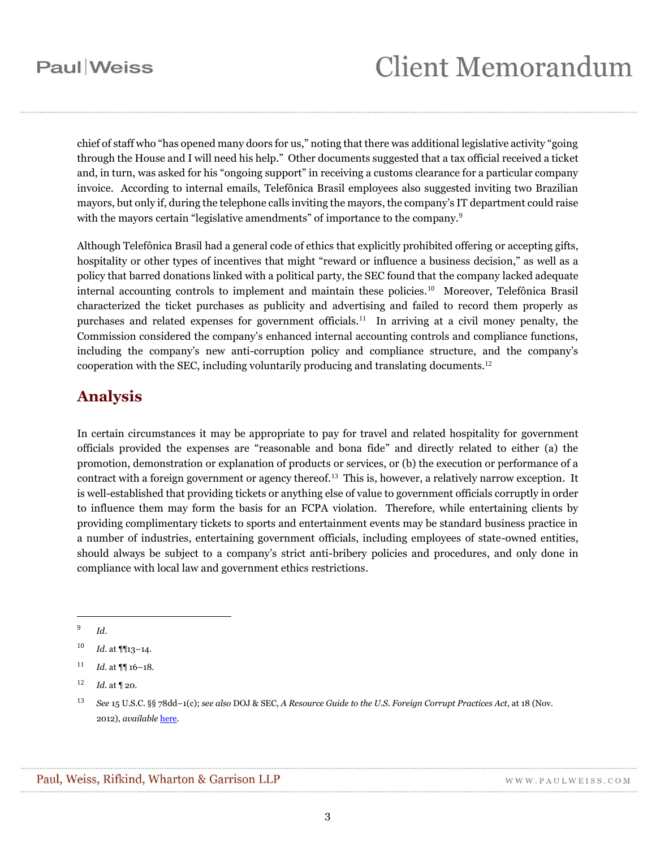chief of staff who "has opened many doors for us," noting that there was additional legislative activity "going through the House and I will need his help." Other documents suggested that a tax official received a ticket and, in turn, was asked for his "ongoing support" in receiving a customs clearance for a particular company invoice. According to internal emails, Telefônica Brasil employees also suggested inviting two Brazilian mayors, but only if, during the telephone calls inviting the mayors, the company's IT department could raise with the mayors certain "legislative amendments" of importance to the company.<sup>9</sup>

Although Telefônica Brasil had a general code of ethics that explicitly prohibited offering or accepting gifts, hospitality or other types of incentives that might "reward or influence a business decision," as well as a policy that barred donations linked with a political party, the SEC found that the company lacked adequate internal accounting controls to implement and maintain these policies.<sup>10</sup> Moreover, Telefônica Brasil characterized the ticket purchases as publicity and advertising and failed to record them properly as purchases and related expenses for government officials.<sup>11</sup> In arriving at a civil money penalty, the Commission considered the company's enhanced internal accounting controls and compliance functions, including the company's new anti-corruption policy and compliance structure, and the company's cooperation with the SEC, including voluntarily producing and translating documents.<sup>12</sup>

### **Analysis**

In certain circumstances it may be appropriate to pay for travel and related hospitality for government officials provided the expenses are "reasonable and bona fide" and directly related to either (a) the promotion, demonstration or explanation of products or services, or (b) the execution or performance of a contract with a foreign government or agency thereof.<sup>13</sup> This is, however, a relatively narrow exception. It is well-established that providing tickets or anything else of value to government officials corruptly in order to influence them may form the basis for an FCPA violation. Therefore, while entertaining clients by providing complimentary tickets to sports and entertainment events may be standard business practice in a number of industries, entertaining government officials, including employees of state-owned entities, should always be subject to a company's strict anti-bribery policies and procedures, and only done in compliance with local law and government ethics restrictions.

 $\overline{a}$ 

WWW.PAULWEISS.COM

<sup>9</sup> *Id*.

<sup>10</sup> *Id.* at ¶¶13–14.

<sup>11</sup> *Id.* at ¶¶ 16–18.

 $12$  *Id.* at 120.

<sup>13</sup> *See* 15 U.S.C. §§ 78dd–1(c); *see also* DOJ & SEC, *A Resource Guide to the U.S. Foreign Corrupt Practices Act*, at 18 (Nov. 2012), *available* [here.](https://www.sec.gov/spotlight/fcpa/fcpa-resource-guide.pdf)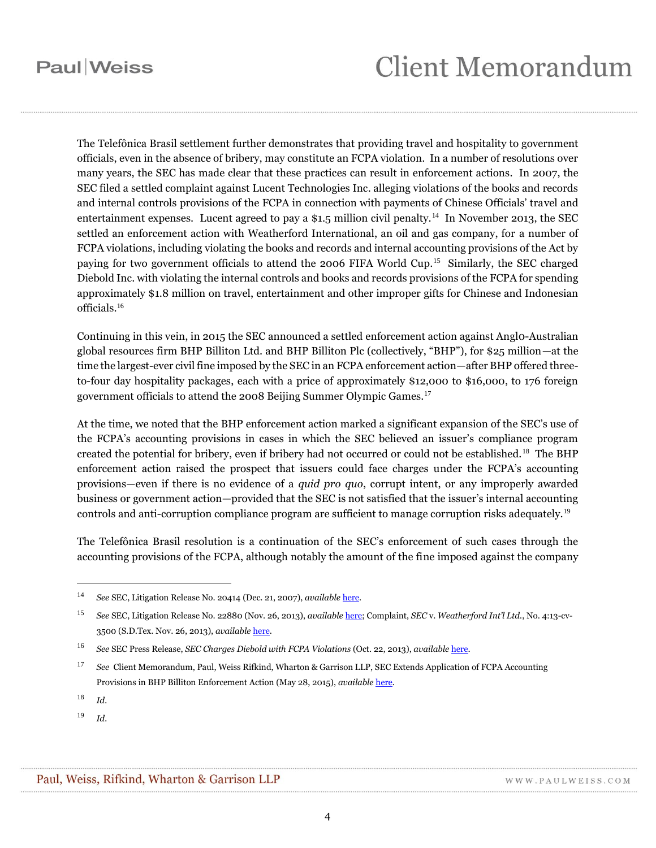# **Paul** Weiss

# **Client Memorandum**

The Telefônica Brasil settlement further demonstrates that providing travel and hospitality to government officials, even in the absence of bribery, may constitute an FCPA violation. In a number of resolutions over many years, the SEC has made clear that these practices can result in enforcement actions. In 2007, the SEC filed a settled complaint against Lucent Technologies Inc. alleging violations of the books and records and internal controls provisions of the FCPA in connection with payments of Chinese Officials' travel and entertainment expenses. Lucent agreed to pay a \$1.5 million civil penalty.<sup>14</sup> In November 2013, the SEC settled an enforcement action with Weatherford International, an oil and gas company, for a number of FCPA violations, including violating the books and records and internal accounting provisions of the Act by paying for two government officials to attend the 2006 FIFA World Cup.<sup>15</sup> Similarly, the SEC charged Diebold Inc. with violating the internal controls and books and records provisions of the FCPA for spending approximately \$1.8 million on travel, entertainment and other improper gifts for Chinese and Indonesian officials.<sup>16</sup>

Continuing in this vein, in 2015 the SEC announced a settled enforcement action against Angl0-Australian global resources firm BHP Billiton Ltd. and BHP Billiton Plc (collectively, "BHP"), for \$25 million—at the time the largest-ever civil fine imposed by the SEC in an FCPA enforcement action—after BHP offered threeto-four day hospitality packages, each with a price of approximately \$12,000 to \$16,000, to 176 foreign government officials to attend the 2008 Beijing Summer Olympic Games.<sup>17</sup>

At the time, we noted that the BHP enforcement action marked a significant expansion of the SEC's use of the FCPA's accounting provisions in cases in which the SEC believed an issuer's compliance program created the potential for bribery, even if bribery had not occurred or could not be established.<sup>18</sup> The BHP enforcement action raised the prospect that issuers could face charges under the FCPA's accounting provisions—even if there is no evidence of a *quid pro quo*, corrupt intent, or any improperly awarded business or government action—provided that the SEC is not satisfied that the issuer's internal accounting controls and anti-corruption compliance program are sufficient to manage corruption risks adequately.<sup>19</sup>

The Telefônica Brasil resolution is a continuation of the SEC's enforcement of such cases through the accounting provisions of the FCPA, although notably the amount of the fine imposed against the company

 $\overline{a}$ 

<sup>19</sup> *Id.*

<sup>14</sup> *See* SEC, Litigation Release No. 20414 (Dec. 21, 2007), *available* [here.](https://www.sec.gov/litigation/litreleases/2007/lr20414.htm)

<sup>15</sup> *See* SEC, Litigation Release No. 22880 (Nov. 26, 2013), *available* [here;](https://www.sec.gov/litigation/litreleases/2013/lr22880.htm) Complaint, *SEC* v. *Weatherford Int'l Ltd.*, No. 4:13-cv-3500 (S.D.Tex. Nov. 26, 2013), *available* [here.](https://www.sec.gov/litigation/complaints/2013/comp-pr2013-252.pdf)

<sup>16</sup> *See* SEC Press Release, *SEC Charges Diebold with FCPA Violations* (Oct. 22, 2013), *available* [here.](https://www.sec.gov/news/press-release/2013-225)

<sup>17</sup> *See* Client Memorandum, Paul, Weiss Rifkind, Wharton & Garrison LLP, SEC Extends Application of FCPA Accounting Provisions in BHP Billiton Enforcement Action (May 28, 2015), *available* [here.](https://www.paulweiss.com/practices/litigation/anti-corruption-fcpa/publications/sec-extends-application-of-fcpa-accounting-provisions-in-bhp-billiton-enforcement-action?id=20053)

<sup>18</sup> *Id.*